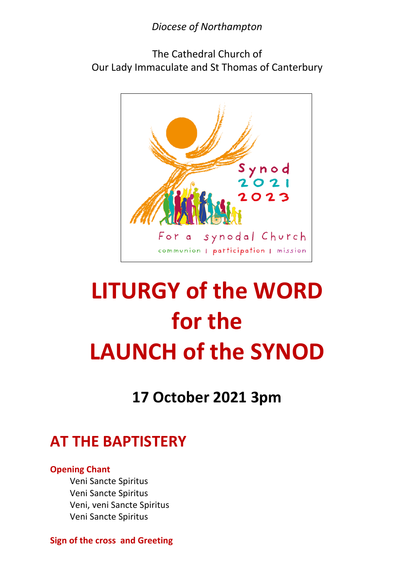### *Diocese of Northampton*

The Cathedral Church of Our Lady Immaculate and St Thomas of Canterbury



# **LITURGY of the WORD for the LAUNCH of the SYNOD**

**17 October 2021 3pm**

# **AT THE BAPTISTERY**

### **Opening Chant**

Veni Sancte Spiritus Veni Sancte Spiritus Veni, veni Sancte Spiritus Veni Sancte Spiritus

### **Sign of the cross and Greeting**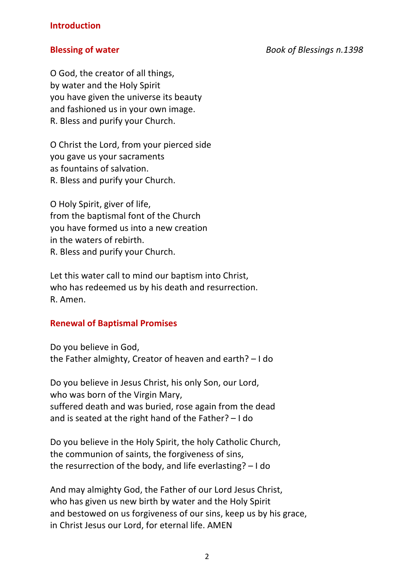### **Introduction**

### **Blessing of water** *Book of Blessings n.1398*

O God, the creator of all things, by water and the Holy Spirit you have given the universe its beauty and fashioned us in your own image. R. Bless and purify your Church.

O Christ the Lord, from your pierced side you gave us your sacraments as fountains of salvation. R. Bless and purify your Church.

O Holy Spirit, giver of life, from the baptismal font of the Church you have formed us into a new creation in the waters of rebirth. R. Bless and purify your Church.

Let this water call to mind our baptism into Christ, who has redeemed us by his death and resurrection. R. Amen.

### **Renewal of Baptismal Promises**

Do you believe in God, the Father almighty, Creator of heaven and earth? – I do

Do you believe in Jesus Christ, his only Son, our Lord, who was born of the Virgin Mary, suffered death and was buried, rose again from the dead and is seated at the right hand of the Father? – I do

Do you believe in the Holy Spirit, the holy Catholic Church, the communion of saints, the forgiveness of sins, the resurrection of the body, and life everlasting? – I do

And may almighty God, the Father of our Lord Jesus Christ, who has given us new birth by water and the Holy Spirit and bestowed on us forgiveness of our sins, keep us by his grace, in Christ Jesus our Lord, for eternal life. AMEN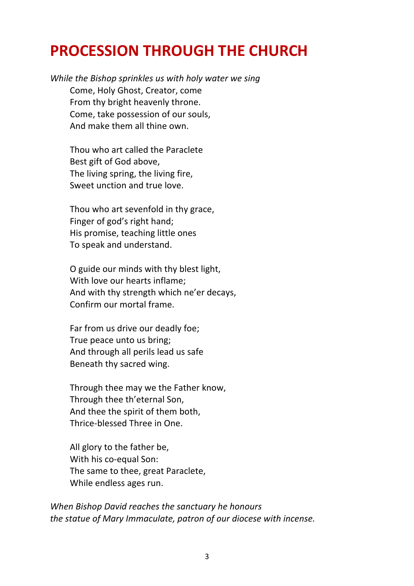# **PROCESSION THROUGH THE CHURCH**

*While the Bishop sprinkles us with holy water we sing* Come, Holy Ghost, Creator, come From thy bright heavenly throne. Come, take possession of our souls, And make them all thine own.

Thou who art called the Paraclete Best gift of God above, The living spring, the living fire, Sweet unction and true love.

Thou who art sevenfold in thy grace, Finger of god's right hand; His promise, teaching little ones To speak and understand.

O guide our minds with thy blest light, With love our hearts inflame; And with thy strength which ne'er decays, Confirm our mortal frame.

Far from us drive our deadly foe; True peace unto us bring; And through all perils lead us safe Beneath thy sacred wing.

Through thee may we the Father know, Through thee th'eternal Son, And thee the spirit of them both, Thrice-blessed Three in One.

All glory to the father be, With his co-equal Son: The same to thee, great Paraclete, While endless ages run.

*When Bishop David reaches the sanctuary he honours the statue of Mary Immaculate, patron of our diocese with incense.*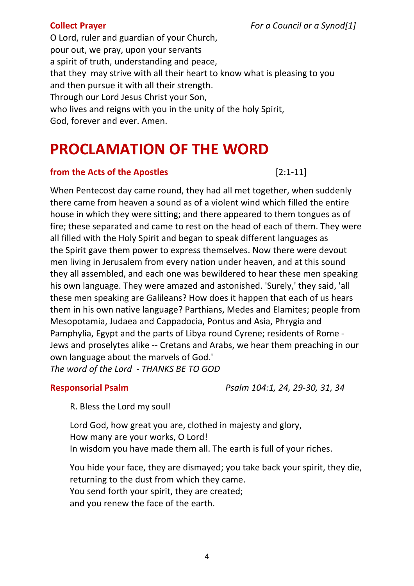O Lord, ruler and guardian of your Church, pour out, we pray, upon your servants a spirit of truth, understanding and peace, that they may strive with all their heart to know what is pleasing to you and then pursue it with all their strength. Through our Lord Jesus Christ your Son, who lives and reigns with you in the unity of the holy Spirit, God, forever and ever. Amen.

# **PROCLAMATION OF THE WORD**

### **from the Acts of the Apostles** [2:1-11]

When Pentecost day came round, they had all met together, when suddenly there came from heaven a sound as of a violent wind which filled the entire house in which they were sitting; and there appeared to them tongues as of fire; these separated and came to rest on the head of each of them. They were all filled with the Holy Spirit and began to speak different languages as the Spirit gave them power to express themselves. Now there were devout men living in Jerusalem from every nation under heaven, and at this sound they all assembled, and each one was bewildered to hear these men speaking his own language. They were amazed and astonished. 'Surely,' they said, 'all these men speaking are Galileans? How does it happen that each of us hears them in his own native language? Parthians, Medes and Elamites; people from Mesopotamia, Judaea and Cappadocia, Pontus and Asia, Phrygia and Pamphylia, Egypt and the parts of Libya round Cyrene; residents of Rome - Jews and proselytes alike -- Cretans and Arabs, we hear them preaching in our own language about the marvels of God.' *The word of the Lord - THANKS BE TO GOD*

**Responsorial Psalm** *Psalm 104:1, 24, 29-30, 31, 34*

R. Bless the Lord my soul!

Lord God, how great you are, clothed in majesty and glory, How many are your works, O Lord! In wisdom you have made them all. The earth is full of your riches.

You hide your face, they are dismayed; you take back your spirit, they die, returning to the dust from which they came. You send forth your spirit, they are created; and you renew the face of the earth.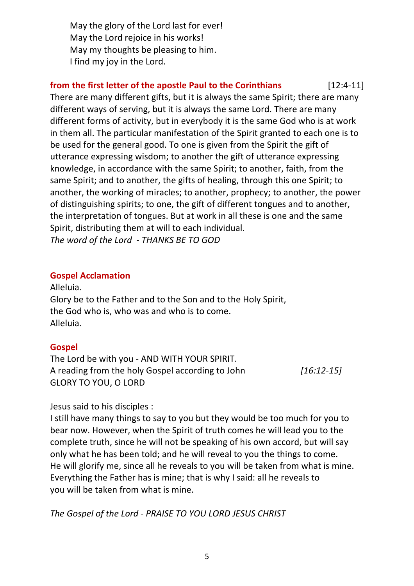May the glory of the Lord last for ever! May the Lord rejoice in his works! May my thoughts be pleasing to him. I find my joy in the Lord.

### **from the first letter of the apostle Paul to the Corinthians** [12:4-11]

There are many different gifts, but it is always the same Spirit; there are many different ways of serving, but it is always the same Lord. There are many different forms of activity, but in everybody it is the same God who is at work in them all. The particular manifestation of the Spirit granted to each one is to be used for the general good. To one is given from the Spirit the gift of utterance expressing wisdom; to another the gift of utterance expressing knowledge, in accordance with the same Spirit; to another, faith, from the same Spirit; and to another, the gifts of healing, through this one Spirit; to another, the working of miracles; to another, prophecy; to another, the power of distinguishing spirits; to one, the gift of different tongues and to another, the interpretation of tongues. But at work in all these is one and the same Spirit, distributing them at will to each individual. *The word of the Lord - THANKS BE TO GOD*

### **Gospel Acclamation**

Alleluia. Glory be to the Father and to the Son and to the Holy Spirit, the God who is, who was and who is to come. Alleluia.

### **Gospel**

The Lord be with you - AND WITH YOUR SPIRIT. A reading from the holy Gospel according to John *[16:12-15]* GLORY TO YOU, O LORD

Jesus said to his disciples :

I still have many things to say to you but they would be too much for you to bear now. However, when the Spirit of truth comes he will lead you to the complete truth, since he will not be speaking of his own accord, but will say only what he has been told; and he will reveal to you the things to come. He will glorify me, since all he reveals to you will be taken from what is mine. Everything the Father has is mine; that is why I said: all he reveals to you will be taken from what is mine.

*The Gospel of the Lord - PRAISE TO YOU LORD JESUS CHRIST*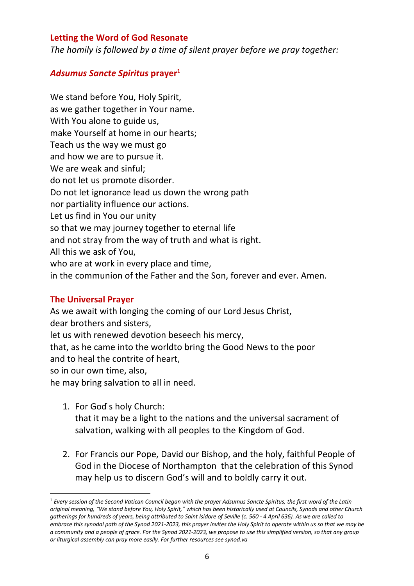### **Letting the Word of God Resonate**

*The homily is followed by a time of silent prayer before we pray together:*

### *Adsumus Sancte Spiritus* **prayer1**

We stand before You, Holy Spirit, as we gather together in Your name. With You alone to guide us, make Yourself at home in our hearts; Teach us the way we must go and how we are to pursue it. We are weak and sinful; do not let us promote disorder. Do not let ignorance lead us down the wrong path nor partiality influence our actions. Let us find in You our unity so that we may journey together to eternal life and not stray from the way of truth and what is right. All this we ask of You, who are at work in every place and time, in the communion of the Father and the Son, forever and ever. Amen.

### **The Universal Prayer**

As we await with longing the coming of our Lord Jesus Christ, dear brothers and sisters, let us with renewed devotion beseech his mercy, that, as he came into the worldto bring the Good News to the poor and to heal the contrite of heart, so in our own time, also, he may bring salvation to all in need.

- 1. For God ́s holy Church: that it may be a light to the nations and the universal sacrament of salvation, walking with all peoples to the Kingdom of God.
- 2. For Francis our Pope, David our Bishop, and the holy, faithful People of God in the Diocese of Northampton that the celebration of this Synod may help us to discern God's will and to boldly carry it out.

<sup>1</sup> *Every session of the Second Vatican Council began with the prayer Adsumus Sancte Spiritus, the first word of the Latin original meaning, "We stand before You, Holy Spirit," which has been historically used at Councils, Synods and other Church gatherings for hundreds of years, being attributed to Saint Isidore of Seville (c. 560 - 4 April 636). As we are called to embrace this synodal path of the Synod 2021-2023, this prayer invites the Holy Spirit to operate within us so that we may be a community and a people of grace. For the Synod 2021-2023, we propose to use this simplified version, so that any group or liturgical assembly can pray more easily. For further resources see synod.va*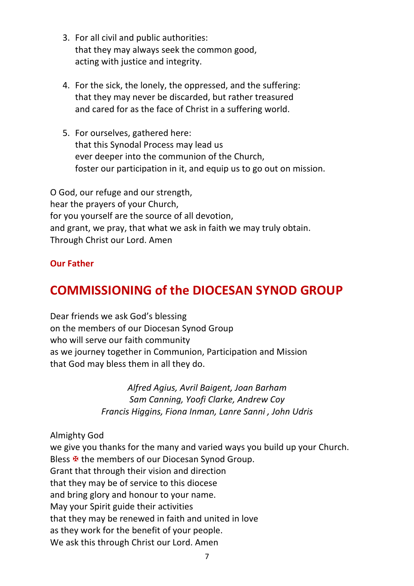- 3. For all civil and public authorities: that they may always seek the common good, acting with justice and integrity.
- 4. For the sick, the lonely, the oppressed, and the suffering: that they may never be discarded, but rather treasured and cared for as the face of Christ in a suffering world.
- 5. For ourselves, gathered here: that this Synodal Process may lead us ever deeper into the communion of the Church, foster our participation in it, and equip us to go out on mission.

O God, our refuge and our strength, hear the prayers of your Church, for you yourself are the source of all devotion, and grant, we pray, that what we ask in faith we may truly obtain. Through Christ our Lord. Amen

### **Our Father**

## **COMMISSIONING of the DIOCESAN SYNOD GROUP**

Dear friends we ask God's blessing on the members of our Diocesan Synod Group who will serve our faith community as we journey together in Communion, Participation and Mission that God may bless them in all they do.

> *Alfred Agius, Avril Baigent, Joan Barham Sam Canning, Yoofi Clarke, Andrew Coy Francis Higgins, Fiona Inman, Lanre Sanni , John Udris*

Almighty God

we give you thanks for the many and varied ways you build up your Church. Bless  $\mathbf{\mathbf{\mathsf{F}}}$  the members of our Diocesan Synod Group. Grant that through their vision and direction that they may be of service to this diocese and bring glory and honour to your name. May your Spirit guide their activities that they may be renewed in faith and united in love as they work for the benefit of your people. We ask this through Christ our Lord. Amen